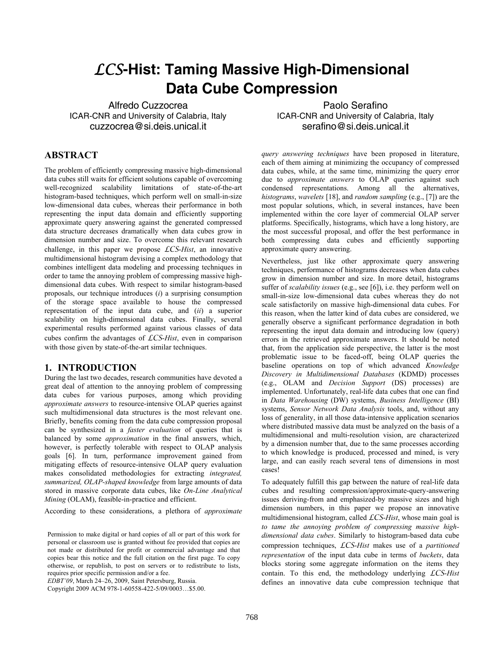# *LCS***-Hist: Taming Massive High-Dimensional Data Cube Compression**

Alfredo Cuzzocrea ICAR-CNR and University of Calabria, Italy cuzzocrea@si.deis.unical.it

Paolo Serafino ICAR-CNR and University of Calabria, Italy serafino@si.deis.unical.it

## **ABSTRACT**

The problem of efficiently compressing massive high-dimensional data cubes still waits for efficient solutions capable of overcoming well-recognized scalability limitations of state-of-the-art histogram-based techniques, which perform well on small-in-size low-dimensional data cubes, whereas their performance in both representing the input data domain and efficiently supporting approximate query answering against the generated compressed data structure decreases dramatically when data cubes grow in dimension number and size. To overcome this relevant research challenge, in this paper we propose *LCS*-*Hist*, an innovative multidimensional histogram devising a complex methodology that combines intelligent data modeling and processing techniques in order to tame the annoying problem of compressing massive highdimensional data cubes. With respect to similar histogram-based proposals, our technique introduces (*i*) a surprising consumption of the storage space available to house the compressed representation of the input data cube, and (*ii*) a superior scalability on high-dimensional data cubes. Finally, several experimental results performed against various classes of data cubes confirm the advantages of *LCS*-*Hist*, even in comparison with those given by state-of-the-art similar techniques.

#### **1. INTRODUCTION**

During the last two decades, research communities have devoted a great deal of attention to the annoying problem of compressing data cubes for various purposes, among which providing *approximate answers* to resource-intensive OLAP queries against such multidimensional data structures is the most relevant one. Briefly, benefits coming from the data cube compression proposal can be synthesized in a *faster evaluation* of queries that is balanced by some *approximation* in the final answers, which, however, is perfectly tolerable with respect to OLAP analysis goals [6]. In turn, performance improvement gained from mitigating effects of resource-intensive OLAP query evaluation makes consolidated methodologies for extracting *integrated, summarized, OLAP-shaped knowledge* from large amounts of data stored in massive corporate data cubes, like *On-Line Analytical Mining* (OLAM), feasible-in-practice and efficient.

According to these considerations, a plethora of *approximate* 

*EDBT'09*, March 24–26, 2009, Saint Petersburg, Russia.

Copyright 2009 ACM 978-1-60558-422-5/09/0003…\$5.00.

*query answering techniques* have been proposed in literature, each of them aiming at minimizing the occupancy of compressed data cubes, while, at the same time, minimizing the query error due to *approximate answers* to OLAP queries against such condensed representations. Among all the alternatives, *histograms*, *wavelets* [18], and *random sampling* (e.g., [7]) are the most popular solutions, which, in several instances, have been implemented within the core layer of commercial OLAP server platforms. Specifically, histograms, which have a long history, are the most successful proposal, and offer the best performance in both compressing data cubes and efficiently supporting approximate query answering.

Nevertheless, just like other approximate query answering techniques, performance of histograms decreases when data cubes grow in dimension number and size. In more detail, histograms suffer of *scalability issues* (e.g., see [6]), i.e. they perform well on small-in-size low-dimensional data cubes whereas they do not scale satisfactorily on massive high-dimensional data cubes. For this reason, when the latter kind of data cubes are considered, we generally observe a significant performance degradation in both representing the input data domain and introducing low (query) errors in the retrieved approximate answers. It should be noted that, from the application side perspective, the latter is the most problematic issue to be faced-off, being OLAP queries the baseline operations on top of which advanced *Knowledge Discovery in Multidimensional Databases* (KDMD) processes (e.g., OLAM and *Decision Support* (DS) processes) are implemented. Unfortunately, real-life data cubes that one can find in *Data Warehousing* (DW) systems, *Business Intelligence* (BI) systems, *Sensor Network Data Analysis* tools, and, without any loss of generality, in all those data-intensive application scenarios where distributed massive data must be analyzed on the basis of a multidimensional and multi-resolution vision, are characterized by a dimension number that, due to the same processes according to which knowledge is produced, processed and mined, is very large, and can easily reach several tens of dimensions in most cases!

To adequately fulfill this gap between the nature of real-life data cubes and resulting compression/approximate-query-answering issues deriving-from and emphasized-by massive sizes and high dimension numbers, in this paper we propose an innovative multidimensional histogram, called *LCS*-*Hist*, whose main goal is *to tame the annoying problem of compressing massive highdimensional data cubes*. Similarly to histogram-based data cube compression techniques, *LCS*-*Hist* makes use of a *partitioned representation* of the input data cube in terms of *buckets*, data blocks storing some aggregate information on the items they contain. To this end, the methodology underlying *LCS*-*Hist* defines an innovative data cube compression technique that

Permission to make digital or hard copies of all or part of this work for personal or classroom use is granted without fee provided that copies are not made or distributed for profit or commercial advantage and that copies bear this notice and the full citation on the first page. To copy otherwise, or republish, to post on servers or to redistribute to lists, requires prior specific permission and/or a fee.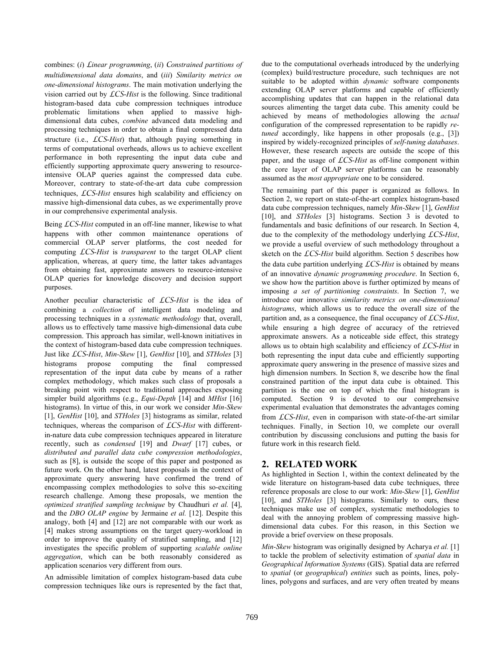combines: (*i*) *Linear programming*, (*ii*) *Constrained partitions of multidimensional data domains*, and (*iii*) *Similarity metrics on one-dimensional histograms*. The main motivation underlying the vision carried out by *LCS*-*Hist* is the following. Since traditional histogram-based data cube compression techniques introduce problematic limitations when applied to massive highdimensional data cubes, *combine* advanced data modeling and processing techniques in order to obtain a final compressed data structure (i.e., *LCS*-*Hist*) that, although paying something in terms of computational overheads, allows us to achieve excellent performance in both representing the input data cube and efficiently supporting approximate query answering to resourceintensive OLAP queries against the compressed data cube. Moreover, contrary to state-of-the-art data cube compression techniques, *LCS*-*Hist* ensures high scalability and efficiency on massive high-dimensional data cubes, as we experimentally prove in our comprehensive experimental analysis.

Being *LCS*-*Hist* computed in an off-line manner, likewise to what happens with other common maintenance operations of commercial OLAP server platforms, the cost needed for computing *LCS*-*Hist* is *transparent* to the target OLAP client application, whereas, at query time, the latter takes advantages from obtaining fast, approximate answers to resource-intensive OLAP queries for knowledge discovery and decision support purposes.

Another peculiar characteristic of *LCS*-*Hist* is the idea of combining a *collection* of intelligent data modeling and processing techniques in a *systematic methodology* that, overall, allows us to effectively tame massive high-dimensional data cube compression. This approach has similar, well-known initiatives in the context of histogram-based data cube compression techniques. Just like *LCS*-*Hist*, *Min-Skew* [1], *GenHist* [10], and *STHoles* [3] histograms propose computing the final compressed representation of the input data cube by means of a rather complex methodology, which makes such class of proposals a breaking point with respect to traditional approaches exposing simpler build algorithms (e.g., *Equi-Depth* [14] and *MHist* [16] histograms). In virtue of this, in our work we consider *Min-Skew* [1], *GenHist* [10], and *STHoles* [3] histograms as similar, related techniques, whereas the comparison of *LCS*-*Hist* with differentin-nature data cube compression techniques appeared in literature recently, such as *condensed* [19] and *Dwarf* [17] cubes, or *distributed and parallel data cube compression methodologies*, such as [8], is outside the scope of this paper and postponed as future work. On the other hand, latest proposals in the context of approximate query answering have confirmed the trend of encompassing complex methodologies to solve this so-exciting research challenge. Among these proposals, we mention the *optimized stratified sampling technique* by Chaudhuri *et al.* [4], and the *DBO OLAP engine* by Jermaine *et al.* [12]. Despite this analogy, both [4] and [12] are not comparable with our work as [4] makes strong assumptions on the target query-workload in order to improve the quality of stratified sampling, and [12] investigates the specific problem of supporting *scalable online aggregation*, which can be both reasonably considered as application scenarios very different from ours.

An admissible limitation of complex histogram-based data cube compression techniques like ours is represented by the fact that, due to the computational overheads introduced by the underlying (complex) build/restructure procedure, such techniques are not suitable to be adopted within *dynamic* software components extending OLAP server platforms and capable of efficiently accomplishing updates that can happen in the relational data sources alimenting the target data cube. This amenity could be achieved by means of methodologies allowing the *actual* configuration of the compressed representation to be rapidly *retuned* accordingly, like happens in other proposals (e.g., [3]) inspired by widely-recognized principles of *self-tuning databases*. However, these research aspects are outside the scope of this paper, and the usage of *LCS*-*Hist* as off-line component within the core layer of OLAP server platforms can be reasonably assumed as the *most appropriate* one to be considered.

The remaining part of this paper is organized as follows. In Section 2, we report on state-of-the-art complex histogram-based data cube compression techniques, namely *Min-Skew* [1], *GenHist* [10], and *STHoles* [3] histograms. Section 3 is devoted to fundamentals and basic definitions of our research. In Section 4, due to the complexity of the methodology underlying *LCS*-*Hist*, we provide a useful overview of such methodology throughout a sketch on the *LCS*-*Hist* build algorithm. Section 5 describes how the data cube partition underlying *LCS*-*Hist* is obtained by means of an innovative *dynamic programming procedure*. In Section 6, we show how the partition above is further optimized by means of imposing *a set of partitioning constraints*. In Section 7, we introduce our innovative *similarity metrics on one-dimensional histograms*, which allows us to reduce the overall size of the partition and, as a consequence, the final occupancy of *LCS*-*Hist*, while ensuring a high degree of accuracy of the retrieved approximate answers. As a noticeable side effect, this strategy allows us to obtain high scalability and efficiency of *LCS*-*Hist* in both representing the input data cube and efficiently supporting approximate query answering in the presence of massive sizes and high dimension numbers. In Section 8, we describe how the final constrained partition of the input data cube is obtained. This partition is the one on top of which the final histogram is computed. Section 9 is devoted to our comprehensive experimental evaluation that demonstrates the advantages coming from *LCS*-*Hist*, even in comparison with state-of-the-art similar techniques. Finally, in Section 10, we complete our overall contribution by discussing conclusions and putting the basis for future work in this research field.

## **2. RELATED WORK**

As highlighted in Section 1, within the context delineated by the wide literature on histogram-based data cube techniques, three reference proposals are close to our work: *Min-Skew* [1], *GenHist* [10], and *STHoles* [3] histograms. Similarly to ours, these techniques make use of complex, systematic methodologies to deal with the annoying problem of compressing massive highdimensional data cubes. For this reason, in this Section we provide a brief overview on these proposals.

*Min-Skew* histogram was originally designed by Acharya *et al.* [1] to tackle the problem of selectivity estimation of *spatial data* in *Geographical Information Systems* (GIS). Spatial data are referred to *spatial* (or *geographical*) *entities* such as points, lines, polylines, polygons and surfaces, and are very often treated by means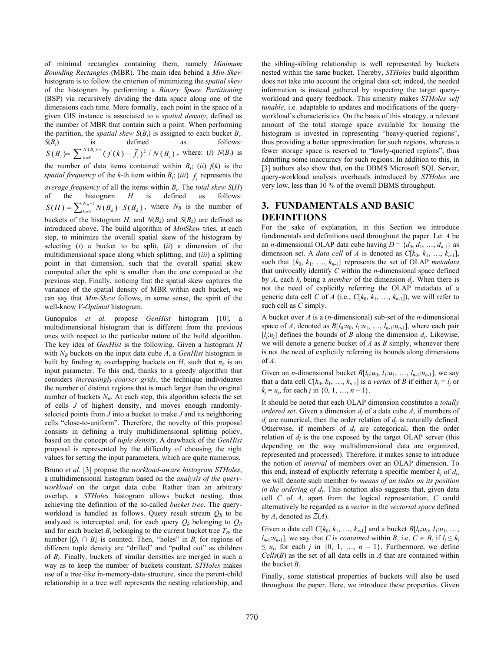of minimal rectangles containing them, namely *Minimum Bounding Rectangles* (MBR). The main idea behind a *Min-Skew* histogram is to follow the criterion of minimizing the *spatial skew* of the histogram by performing a *Binary Space Partitioning* (BSP) via recursively dividing the data space along one of the dimensions each time. More formally, each point in the space of a given GIS instance is associated to a *spatial density*, defined as the number of MBR that contain such a point. When performing the partition, the *spatial skew*  $S(B_i)$  is assigned to each bucket  $B_i$ .<br> $S(B_i)$  is defined as follows: *S*(*B<sub>i</sub>*) is defined as follows:  $(B_i)=\sum_{k=0}^{N(B_i)-1}(f(k)-\bar{f}_i)^2/N(B_i)$  $^2/N(B_i)$  $S(B_i) = \sum_{k=0}^{N(B_i)-1} (f(k) - \bar{f}_i)^2 / N(B_i)$ , where: (*i*)  $N(B_i)$  is the number of data items contained within  $B_i$ ; (*ii*)  $f(k)$  is the *spatial frequency* of the *k*-th item within  $B_i$ ; (*iii*)  $\overline{f}_i$  represents the *average frequency* of all the items within  $B_i$ . The *total skew S(H)* of the histogram  $H$  is defined as follows: of the histogram *H* is defined as follows:  $S(H) = \sum_{k=0}^{N_B-1} N(B_k) \cdot S(B_k)$ , where  $N_B$  is the number of buckets of the histogram *H*, and  $N(B_k)$  and  $S(B_k)$  are defined as introduced above. The build algorithm of *MinSkew* tries, at each step, to minimize the overall spatial skew of the histogram by selecting (*i*) a bucket to be split, (*ii*) a dimension of the multidimensional space along which splitting, and (*iii*) a splitting point in that dimension, such that the overall spatial skew computed after the split is smaller than the one computed at the previous step. Finally, noticing that the spatial skew captures the variance of the spatial density of MBR within each bucket, we can say that *Min-Skew* follows, in some sense, the spirit of the well-know *V*-*Optimal* histogram.

Gunopulos *et al.* propose *GenHist* histogram [10], a multidimensional histogram that is different from the previous ones with respect to the particular nature of the build algorithm. The key idea of *GenHist* is the following. Given a histogram *H* with  $N_B$  buckets on the input data cube *A*, a *GenHist* histogram is built by finding  $n_b$  overlapping buckets on *H*, such that  $n_b$  is an input parameter. To this end, thanks to a greedy algorithm that considers *increasingly-coarser grids*, the technique individuates the number of distinct regions that is much larger than the original number of buckets  $N_B$ . At each step, this algorithm selects the set of cells *J* of highest density, and moves enough randomlyselected points from *J* into a bucket to make *J* and its neighboring cells "close-to-uniform". Therefore, the novelty of this proposal consists in defining a truly multidimensional splitting policy, based on the concept of *tuple density*. A drawback of the *GenHist* proposal is represented by the difficulty of choosing the right values for setting the input parameters, which are quite numerous.

Bruno *et al.* [3] propose the *workload-aware histogram STHoles*, a multidimensional histogram based on the *analysis of the queryworkload* on the target data cube. Rather than an arbitrary overlap, a *STHoles* histogram allows bucket nesting, thus achieving the definition of the so-called *bucket tree*. The queryworkload is handled as follows. Query result stream  $Q_R$  to be analyzed is intercepted and, for each query  $Q_k$  belonging to  $Q_R$ and for each bucket  $B_i$  belonging to the current bucket tree  $T_B$ , the number  $|Q_k \cap B_i|$  is counted. Then, "holes" in  $B_i$  for regions of different tuple density are "drilled" and "pulled out" as children of *Bi*. Finally, buckets of similar densities are merged in such a way as to keep the number of buckets constant. *STHoles* makes use of a tree-like in-memory-data-structure, since the parent-child relationship in a tree well represents the nesting relationship, and the sibling-sibling relationship is well represented by buckets nested within the same bucket. Thereby, *STHoles* build algorithm does not take into account the original data set; indeed, the needed information is instead gathered by inspecting the target queryworkload and query feedback. This amenity makes *STHoles self tunable*, i.e. adaptable to updates and modifications of the queryworkload's characteristics. On the basis of this strategy, a relevant amount of the total storage space available for housing the histogram is invested in representing "heavy-queried regions", thus providing a better approximation for such regions, whereas a fewer storage space is reserved to "lowly-queried regions", thus admitting some inaccuracy for such regions. In addition to this, in [3] authors also show that, on the DBMS Microsoft SQL Server, query-workload analysis overheads introduced by *STHoles* are very low, less than 10 % of the overall DBMS throughput.

## **3. FUNDAMENTALS AND BASIC DEFINITIONS**

For the sake of explanation, in this Section we introduce fundamentals and definitions used throughout the paper. Let *A* be an *n*-dimensional OLAP data cube having  $D = \{d_0, d_1, ..., d_{n-1}\}\$  as dimension set. A *data cell* of *A* is denoted as  $C[k_0, k_1, ..., k_{n-1}]$ , such that  $\{k_0, k_1, ..., k_{n-1}\}$  represents the set of OLAP *metadata* that univocally identify *C* within the *n*-dimensional space defined by  $A$ , each  $k_i$  being a *member* of the dimension  $d_i$ . When there is not the need of explicitly referring the OLAP metadata of a generic data cell *C* of *A* (i.e.,  $C[k_0, k_1, ..., k_{n-1}]$ ), we will refer to such cell as *C* simply.

A bucket over *A* is a (*n*-dimensional) sub-set of the *n*-dimensional space of *A*, denoted as  $B[l_0:u_0, l_1:u_1, \ldots, l_{n-1}:u_{n-1}]$ , where each pair  $[I_i:u_j]$  defines the bounds of *B* along the dimension  $d_i$ . Likewise, we will denote a generic bucket of *A* as *B* simply, whenever there is not the need of explicitly referring its bounds along dimensions of *A*.

Given an *n*-dimensional bucket  $B[l_0:u_0, l_1:u_1, \ldots, l_{n-1}:u_{n-1}]$ , we say that a data cell  $C[k_0, k_1, ..., k_{n-1}]$  is a *vertex* of *B* if either  $k_i = l_i$  or  $k_j = u_j$ , for each *j* in  $\{0, 1, ..., n-1\}$ .

It should be noted that each OLAP dimension constitutes a *totally ordered set*. Given a dimension  $d_i$  of a data cube  $A$ , if members of  $d_i$  are numerical, then the order relation of  $d_i$  is naturally defined. Otherwise, if members of  $d_i$  are categorical, then the order relation of  $d_i$  is the one exposed by the target OLAP server (this depending on the way multidimensional data are organized, represented and processed). Therefore, it makes sense to introduce the notion of *interval* of members over an OLAP dimension. To this end, instead of explicitly referring a specific member  $k_i$  of  $d_i$ , we will denote such member *by means of an index on its position in the ordering of dj*. This notation also suggests that, given data cell *C* of *A*, apart from the logical representation, *C* could alternatively be regarded as a *vector* in the *vectorial space* defined by  $A$ , denoted as  $Z(A)$ .

Given a data cell  $C[k_0, k_1, ..., k_{n-1}]$  and a bucket  $B[l_0:u_0, l_1:u_1, ...,$  $l_{n-1}:u_{n-1}$ , we say that *C* is *contained* within *B*, i.e.  $C \in B$ , if  $l_i \leq k_i$  $\leq u_i$ , for each *j* in {0, 1, ..., *n* – 1}. Furthermore, we define *Cells*(*B*) as the set of all data cells in *A* that are contained within the bucket *B*.

Finally, some statistical properties of buckets will also be used throughout the paper. Here, we introduce these properties. Given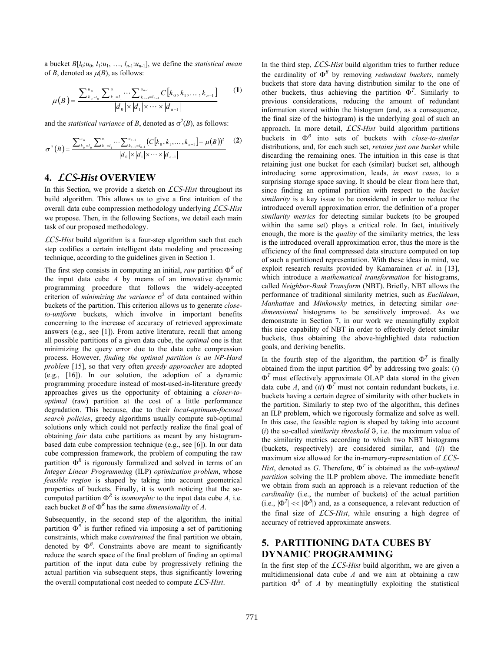a bucket  $B[l_0:u_0, l_1:u_1, \ldots, l_{n-1}:u_{n-1}]$ , we define the *statistical mean* of *B*, denoted as  $\mu(B)$ , as follows:

$$
\mu(B) = \frac{\sum_{k_0 = t_0}^{u_0} \sum_{k_1 = l_1}^{u_1} \cdots \sum_{k_{n-1} = l_{n-1}}^{u_{n-1}} C[k_0, k_1, \dots, k_{n-1}]}{|d_0| \times |d_1| \times \cdots \times |d_{n-1}|}
$$
(1)

and the *statistical variance* of *B*, denoted as  $\sigma^2(B)$ , as follows:

$$
\sigma^{2}(B) = \frac{\sum_{k_{0}=I_{0}}^{u_{0}} \sum_{k_{1}=I_{1}}^{u_{1}} \cdots \sum_{k_{n-1}=I_{n-1}}^{u_{n-1}} (C[k_{0}, k_{1}, \ldots, k_{n-1}] - \mu(B))^{2}}{|d_{0}| \times |d_{1}| \times \cdots \times |d_{n-1}|}
$$
(2)

## **4.** *LCS***-***Hist* **OVERVIEW**

In this Section, we provide a sketch on *LCS*-*Hist* throughout its build algorithm. This allows us to give a first intuition of the overall data cube compression methodology underlying *LCS*-*Hist* we propose. Then, in the following Sections, we detail each main task of our proposed methodology.

*LCS*-*Hist* build algorithm is a four-step algorithm such that each step codifies a certain intelligent data modeling and processing technique, according to the guidelines given in Section 1.

The first step consists in computing an initial, *raw* partition  $\Phi^R$  of the input data cube *A* by means of an innovative dynamic programming procedure that follows the widely-accepted criterion of *minimizing the variance*  $\sigma^2$  of data contained within buckets of the partition. This criterion allows us to generate *closeto-uniform* buckets, which involve in important benefits concerning to the increase of accuracy of retrieved approximate answers (e.g., see [1]). From active literature, recall that among all possible partitions of a given data cube, the *optimal* one is that minimizing the query error due to the data cube compression process. However, *finding the optimal partition is an NP-Hard problem* [15], so that very often *greedy approaches* are adopted (e.g., [16]). In our solution, the adoption of a dynamic programming procedure instead of most-used-in-literature greedy approaches gives us the opportunity of obtaining a *closer-tooptimal* (raw) partition at the cost of a little performance degradation. This because, due to their *local-optimum-focused search policies*, greedy algorithms usually compute sub-optimal solutions only which could not perfectly realize the final goal of obtaining *fair* data cube partitions as meant by any histogrambased data cube compression technique (e.g., see [6]). In our data cube compression framework, the problem of computing the raw partition  $\Phi^R$  is rigorously formalized and solved in terms of an *Integer Linear Programming* (ILP) *optimization problem*, whose *feasible region* is shaped by taking into account geometrical properties of buckets. Finally, it is worth noticing that the socomputed partition  $\Phi^R$  is *isomorphic* to the input data cube *A*, i.e. each bucket *B* of  $\Phi^R$  has the same *dimensionality* of *A*.

Subsequently, in the second step of the algorithm, the initial partition  $\Phi^R$  is further refined via imposing a set of partitioning constraints, which make *constrained* the final partition we obtain, denoted by  $\Phi^B$ . Constraints above are meant to significantly reduce the search space of the final problem of finding an optimal partition of the input data cube by progressively refining the actual partition via subsequent steps, thus significantly lowering the overall computational cost needed to compute *LCS*-*Hist*.

In the third step, *LCS*-*Hist* build algorithm tries to further reduce the cardinality of  $\Phi^B$  by removing *redundant buckets*, namely buckets that store data having distribution similar to the one of other buckets, thus achieving the partition  $\Phi^T$ . Similarly to previous considerations, reducing the amount of redundant information stored within the histogram (and, as a consequence, the final size of the histogram) is the underlying goal of such an approach. In more detail, *LCS*-*Hist* build algorithm partitions buckets in *<sup>B</sup>* into sets of buckets with *close-to-similar* distributions, and, for each such set, *retains just one bucket* while discarding the remaining ones. The intuition in this case is that retaining just one bucket for each (similar) bucket set, although introducing some approximation, leads, *in most cases*, to a surprising storage space saving. It should be clear from here that, since finding an optimal partition with respect to the *bucket similarity* is a key issue to be considered in order to reduce the introduced overall approximation error, the definition of a proper *similarity metrics* for detecting similar buckets (to be grouped within the same set) plays a critical role. In fact, intuitively enough, the more is the *quality* of the similarity metrics, the less is the introduced overall approximation error, thus the more is the efficiency of the final compressed data structure computed on top of such a partitioned representation. With these ideas in mind, we exploit research results provided by Kamarainen *et al.* in [13], which introduce a *mathematical transformation* for histograms, called *Neighbor-Bank Transform* (NBT). Briefly, NBT allows the performance of traditional similarity metrics, such as *Euclidean*, *Manhattan* and *Minkowsky* metrics, in detecting similar *onedimensional* histograms to be sensitively improved. As we demonstrate in Section 7, in our work we meaningfully exploit this nice capability of NBT in order to effectively detect similar buckets, thus obtaining the above-highlighted data reduction goals, and deriving benefits.

In the fourth step of the algorithm, the partition  $\Phi^T$  is finally obtained from the input partition  $\Phi^B$  by addressing two goals: (*i*)  $\Phi<sup>T</sup>$  must effectively approximate OLAP data stored in the given data cube *A*, and (*ii*)  $\Phi^T$  must not contain redundant buckets, i.e. buckets having a certain degree of similarity with other buckets in the partition. Similarly to step two of the algorithm, this defines an ILP problem, which we rigorously formalize and solve as well. In this case, the feasible region is shaped by taking into account  $(i)$  the so-called *similarity threshold*  $\vartheta$ , i.e. the maximum value of the similarity metrics according to which two NBT histograms (buckets, respectively) are considered similar, and (*ii*) the maximum size allowed for the in-memory-representation of *LCS*-*Hist*, denoted as *G*. Therefore,  $\Phi^T$  is obtained as the *sub-optimal partition* solving the ILP problem above. The immediate benefit we obtain from such an approach is a relevant reduction of the *cardinality* (i.e., the number of buckets) of the actual partition (i.e.,  $|\Phi^T| \ll |\Phi^B|$ ) and, as a consequence, a relevant reduction of the final size of *LCS*-*Hist*, while ensuring a high degree of accuracy of retrieved approximate answers.

# **5. PARTITIONING DATA CUBES BY DYNAMIC PROGRAMMING**

In the first step of the *LCS*-*Hist* build algorithm, we are given a multidimensional data cube *A* and we aim at obtaining a raw partition  $\Phi^R$  of *A* by meaningfully exploiting the statistical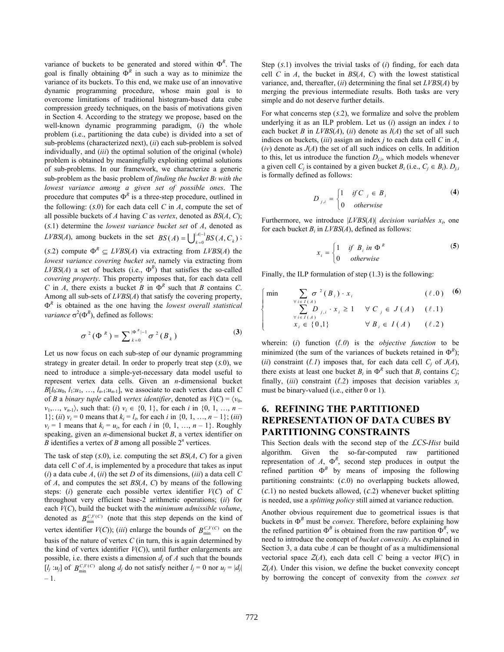variance of buckets to be generated and stored within  $\Phi^R$ . The goal is finally obtaining  $\Phi^R$  in such a way as to minimize the variance of its buckets. To this end, we make use of an innovative dynamic programming procedure, whose main goal is to overcome limitations of traditional histogram-based data cube compression greedy techniques, on the basis of motivations given in Section 4. According to the strategy we propose, based on the well-known dynamic programming paradigm, (*i*) the whole problem (i.e., partitioning the data cube) is divided into a set of sub-problems (characterized next), (*ii*) each sub-problem is solved individually, and (*iii*) the optimal solution of the original (whole) problem is obtained by meaningfully exploiting optimal solutions of sub-problems. In our framework, we characterize a generic sub-problem as the basic problem of *finding the bucket Bℓ with the lowest variance among a given set of possible ones*. The procedure that computes  $\Phi^R$  is a three-step procedure, outlined in the following:  $(S,0)$  for each data cell *C* in *A*, compute the set of all possible buckets of *A* having *C* as *vertex*, denoted as *BS*(*A*, *C*); (*s*.1) determine the *lowest variance bucket set* of *A*, denoted as *LVBS*(*A*), among buckets in the set  $BS(A) = \bigcup_{k=0}^{|A|-1} BS(A, C_k)$ ;

(*s*.2) compute  $\Phi^R \subseteq LVBS(A)$  via extracting from  $LVBS(A)$  the *lowest variance covering bucket set*, namely via extracting from  $LVBS(A)$  a set of buckets (i.e.,  $\Phi^R$ ) that satisfies the so-called *covering property*. This property imposes that, for each data cell *C* in *A*, there exists a bucket *B* in  $\Phi^R$  such that *B* contains *C*. Among all sub-sets of *LVBS*(*A*) that satisfy the covering property,  $\Phi^R$  is obtained as the one having the *lowest overall statistical variance*  $\sigma^2(\Phi^R)$ , defined as follows:

$$
\sigma^2(\Phi^R) = \sum_{k=0}^{|\Phi^R|-1} \sigma^2(B_k)
$$
 (3)

Let us now focus on each sub-step of our dynamic programming strategy in greater detail. In order to properly treat step (*s*.0), we need to introduce a simple-yet-necessary data model useful to represent vertex data cells. Given an *n*-dimensional bucket  $B[l_0:u_0, l_1:u_1, \ldots, l_{n-1}:u_{n-1}]$ , we associate to each vertex data cell *C* of *B* a *binary tuple* called *vertex identifier*, denoted as  $V(C) = \langle v_0, v_1 \rangle$  $v_1, \ldots, v_{n-1}$ , such that: (*i*)  $v_i \in \{0, 1\}$ , for each *i* in  $\{0, 1, \ldots, n-1\}$ 1}; (*ii*)  $v_i = 0$  means that  $k_i = l_i$ , for each *i* in {0, 1, …, *n* – 1}; (*iii*)  $v_i = 1$  means that  $k_i = u_i$ , for each *i* in  $\{0, 1, ..., n-1\}$ . Roughly speaking, given an *n*-dimensional bucket *B*, a vertex identifier on  $\hat{B}$  identifies a vertex of  $\hat{B}$  among all possible  $2^n$  vertices.

The task of step (*s*.0), i.e. computing the set *BS*(*A*, *C*) for a given data cell *C* of *A*, is implemented by a procedure that takes as input  $(i)$  a data cube *A*,  $(ii)$  the set *D* of its dimensions,  $(iii)$  a data cell *C* of *A*, and computes the set *BS*(*A*, *C*) by means of the following steps: (*i*) generate each possible vertex identifier *V*(*C*) of *C* throughout very efficient base-2 arithmetic operations; (*ii*) for each *V*(*C*), build the bucket with the *minimum admissible volume*, denoted as  $B_{\min}^{C,V(C)}$  (note that this step depends on the kind of vertex identifier  $V(C)$ ; (*iii*) enlarge the bounds of  $B_{\min}^{C,V(C)}$  on the basis of the nature of vertex *C* (in turn, this is again determined by the kind of vertex identifier  $V(C)$ ), until further enlargements are possible, i.e. there exists a dimension  $d_i$  of  $A$  such that the bounds [*l<sub>j</sub>* : *u<sub>j</sub>*] of  $B_{\min}^{C,V(C)}$  along  $d_j$  do not satisfy neither  $l_j = 0$  nor  $u_j = |d_j|$ – 1.

Step (*s*.1) involves the trivial tasks of (*i*) finding, for each data cell *C* in *A*, the bucket in *BS*(*A*, *C*) with the lowest statistical variance, and, thereafter, (*ii*) determining the final set *LVBS*(*A*) by merging the previous intermediate results. Both tasks are very simple and do not deserve further details.

For what concerns step (*s*.2), we formalize and solve the problem underlying it as an ILP problem. Let us (*i*) assign an index *i* to each bucket *B* in  $LVBS(A)$ , (*ii*) denote as  $I(A)$  the set of all such indices on buckets, (*iii*) assign an index *j* to each data cell *C* in *A*,  $(iv)$  denote as  $J(A)$  the set of all such indices on cells. In addition to this, let us introduce the function  $D_{j,i}$ , which models whenever a given cell  $C_i$  is contained by a given bucket  $B_i$  (i.e.,  $C_i \in B_i$ ).  $D_{i,i}$ is formally defined as follows:

$$
D_{j,i} = \begin{cases} 1 & \text{if } C_j \in B_i \\ 0 & \text{otherwise} \end{cases} \tag{4}
$$

Furthermore, we introduce  $|LVBS(A)|$  *decision variables*  $x_i$ , one for each bucket *Bi* in *LVBS*(*A*), defined as follows:

$$
x_i = \begin{cases} 1 & \text{if } B_i \text{ in } \Phi^R \\ 0 & \text{otherwise} \end{cases}
$$
 (5)

Finally, the ILP formulation of step (1.3) is the following:

$$
\begin{cases}\n\min \quad & \sum_{\forall i \in I(A)} \sigma^2(B_i) \cdot x_i \quad (\ell.0) \quad (6) \\
& \sum_{\forall i \in I(A)} D_{j,i} \cdot x_i \ge 1 \quad \forall \ C_j \in J(A) \quad (\ell.1) \\
& x_i \in \{0,1\} \quad \forall \ B_i \in I(A) \quad (\ell.2)\n\end{cases}
$$

wherein: (*i*) function (*ℓ.0*) is the *objective function* to be minimized (the sum of the variances of buckets retained in  $\Phi^R$ ); (*ii*) constraint ( $\ell$ *.1*) imposes that, for each data cell  $C_i$  of  $J(A)$ , there exists at least one bucket  $B_i$  in  $\Phi^R$  such that  $B_i$  contains  $C_j$ ; finally, (*iii*) constraint ( $\ell$ ,2) imposes that decision variables  $x_i$ must be binary-valued (i.e., either 0 or 1).

## **6. REFINING THE PARTITIONED REPRESENTATION OF DATA CUBES BY PARTITIONING CONSTRAINTS**

This Section deals with the second step of the *LCS*-*Hist* build algorithm. Given the so-far-computed raw partitioned representation of  $A$ ,  $\Phi^R$ , second step produces in output the refined partition  $\Phi^B$  by means of imposing the following partitioning constraints: (*c*.0) no overlapping buckets allowed, (*c*.1) no nested buckets allowed, (*c*.2) whenever bucket splitting is needed, use a *splitting policy* still aimed at variance reduction.

Another obvious requirement due to geometrical issues is that buckets in  $\Phi^B$  must be *convex*. Therefore, before explaining how the refined partition  $\Phi^B$  is obtained from the raw partition  $\Phi^R$ , we need to introduce the concept of *bucket convexity*. As explained in Section 3, a data cube *A* can be thought of as a multidimensional vectorial space  $Z(A)$ , each data cell *C* being a vector  $W(C)$  in *Z*(*A*). Under this vision, we define the bucket convexity concept by borrowing the concept of convexity from the *convex set*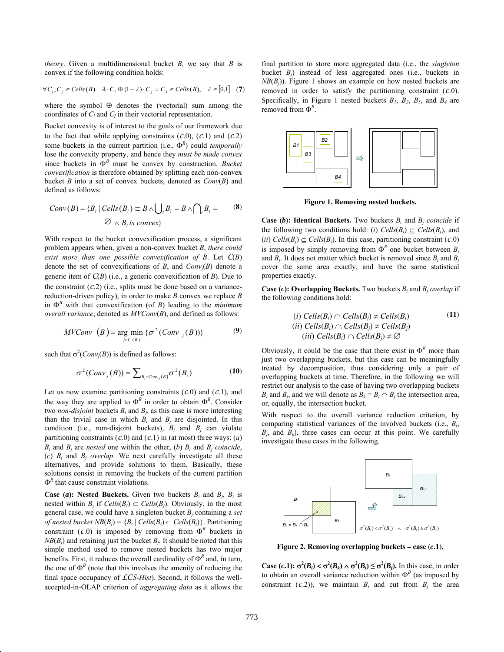*theory*. Given a multidimensional bucket *B*, we say that *B* is convex if the following condition holds:

$$
\forall C_i, C_j \in Cells(B) \quad \lambda \cdot C_i \oplus (1 - \lambda) \cdot C_j = C_k \in Cells(B), \quad \lambda \in [0,1] \tag{7}
$$

where the symbol  $\oplus$  denotes the (vectorial) sum among the coordinates of  $C_i$  and  $C_j$  in their vectorial representation.

Bucket convexity is of interest to the goals of our framework due to the fact that while applying constraints  $(c.0)$ ,  $(c.1)$  and  $(c.2)$ some buckets in the current partition (i.e.,  $\Phi^R$ ) could *temporally* lose the convexity property, and hence they *must be made convex* since buckets in  $\Phi^B$  must be convex by construction. *Bucket convexification* is therefore obtained by splitting each non-convex bucket *B* into a set of convex buckets, denoted as *Conv*(*B*) and defined as follows:

$$
Conv(B) = {Bi | Cells(Bi) ⊂ B ∧ \bigcupi Bi = B ∧ \bigcapi Bi =
$$
 (8)  
Ø ∧ B<sub>i</sub> is convex}

With respect to the bucket convexification process, a significant problem appears when, given a non-convex bucket *B*, *there could exist more than one possible convexification of B*. Let *C*(*B*) denote the set of convexifications of *B*, and  $Conv_i(B)$  denote a generic item of *C*(*B*) (i.e., a generic convexification of *B*). Due to the constraint  $(c.2)$  (i.e., splits must be done based on a variancereduction-driven policy), in order to make *B* convex we replace *B* in  $\Phi^B$  with that convexification (of *B*) leading to the *minimum overall variance*, denoted as *MVConv*(*B*), and defined as follows:

$$
MVConv (B) = \underset{j \in C(B)}{\text{arg min}} \{ \sigma^2 (Conv_j (B)) \}
$$
 (9)

such that  $\sigma^2(Conv_j(B))$  is defined as follows:

$$
\sigma^2(Conv_j(B)) = \sum_{B_i \in Conv_j(B)} \sigma^2(B_i)
$$
 (10)

Let us now examine partitioning constraints (*c*.0) and (*c*.1), and the way they are applied to  $\Phi^R$  in order to obtain  $\Phi^B$ . Consider two *non-disjoint* buckets  $B_i$  and  $B_j$ , as this case is more interesting than the trivial case in which  $B_i$  and  $B_j$  are disjointed. In this condition (i.e., non-disjoint buckets),  $B_i$  and  $B_j$  can violate partitioning constraints  $(c.0)$  and  $(c.1)$  in (at most) three ways:  $(a)$  $B_i$  and  $B_i$  are *nested* one within the other, (*b*)  $B_i$  and  $B_i$  *coincide*, (*c*)  $B_i$  and  $B_j$  *overlap*. We next carefully investigate all these alternatives, and provide solutions to them. Basically, these solutions consist in removing the buckets of the current partition  $\Phi^R$  that cause constraint violations.

**Case (***a***): Nested Buckets.** Given two buckets  $B_i$  and  $B_i$ ,  $B_i$  is nested within  $B_i$  if  $Cells(B_i) \subset Cells(B_i)$ . Obviously, in the most general case, we could have a singleton bucket *Bj* containing a *set of nested bucket*  $NB(B_i) = {B_i | Cells(B_i) \subset Cells(B_i)}$ . Partitioning constraint  $(C.0)$  is imposed by removing from  $\Phi^R$  buckets in  $NB(B<sub>i</sub>)$  and retaining just the bucket  $B<sub>i</sub>$ . It should be noted that this simple method used to remove nested buckets has two major benefits. First, it reduces the overall cardinality of  $\Phi^R$  and, in turn, the one of  $\Phi^B$  (note that this involves the amenity of reducing the final space occupancy of *LCS*-*Hist*). Second, it follows the wellaccepted-in-OLAP criterion of *aggregating data* as it allows the

final partition to store more aggregated data (i.e., the *singleton* bucket *Bj*) instead of less aggregated ones (i.e., buckets in  $NB(B<sub>i</sub>)$ ). Figure 1 shows an example on how nested buckets are removed in order to satisfy the partitioning constraint (*c*.0). Specifically, in Figure 1 nested buckets  $B_1$ ,  $B_2$ ,  $B_3$ , and  $B_4$  are removed from  $\Phi^R$ .



**Figure 1. Removing nested buckets.** 

**Case (b): Identical Buckets.** Two buckets  $B_i$  and  $B_j$  *coincide* if the following two conditions hold: (*i*)  $Cells(B_i) \subset Cells(B_i)$ , and (*ii*)  $\text{Cells}(B_i) \subset \text{Cells}(B_i)$ . In this case, partitioning constraint (*c*.0) is imposed by simply removing from  $\Phi^R$  one bucket between  $B_i$ and  $\hat{B}_i$ . It does not matter which bucket is removed since  $B_i$  and  $B_j$ cover the same area exactly, and have the same statistical properties exactly.

**Case (***c***): Overlapping Buckets.** Two buckets *Bi* and *Bj overlap* if the following conditions hold:

(i) Cells
$$
(B_i) \cap Cells(B_j) \neq Cells(B_i)
$$
 (ii) Cells $(B_i) \cap Cells(B_j) \neq Cells(B_j)$  (iii) Cells $(B_i) \cap Cells(B_j) \neq \emptyset$ 

Obviously, it could be the case that there exist in  $\Phi^R$  more than just two overlapping buckets, but this case can be meaningfully treated by decomposition, thus considering only a pair of overlapping buckets at time. Therefore, in the following we will restrict our analysis to the case of having two overlapping buckets  $B_i$  and  $B_j$ , and we will denote as  $B_k = B_i \cap B_j$  the intersection area, or, equally, the intersection bucket.

With respect to the overall variance reduction criterion, by comparing statistical variances of the involved buckets (i.e., *Bi*,  $B_i$ , and  $B_k$ ), three cases can occur at this point. We carefully investigate these cases in the following.



**Figure 2. Removing overlapping buckets – case (***c***.1).** 

**Case (***c***.1):**  $\sigma^2(B_i) < \sigma^2(B_k) \wedge \sigma^2(B_i) \leq \sigma^2(B_j)$ **. In this case, in order** to obtain an overall variance reduction within  $\Phi^B$  (as imposed by constraint  $(c.2)$ , we maintain  $B_i$  and cut from  $B_i$  the area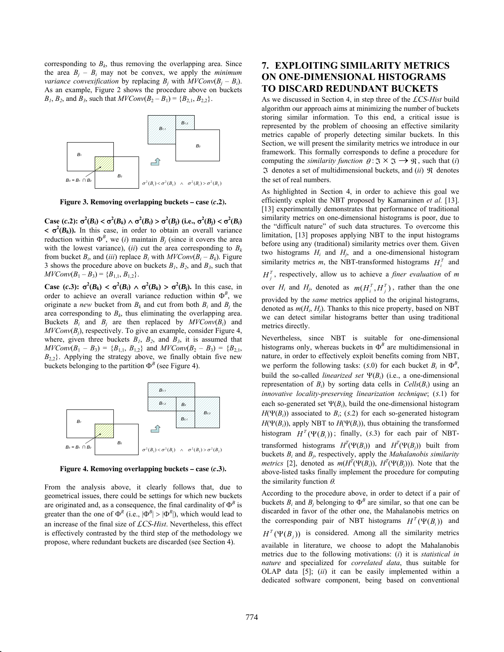corresponding to  $B_k$ , thus removing the overlapping area. Since the area  $B_i - B_i$  may not be convex, we apply the *minimum variance convexification* by replacing  $B_i$  with  $MVConv(B_i - B_i)$ . As an example, Figure 2 shows the procedure above on buckets  $B_1$ ,  $B_2$ , and  $B_3$ , such that  $MVConv(B_2 - B_1) = {B_{2,1}, B_{2,2}}$ .



**Figure 3. Removing overlapping buckets – case (***c***.2).** 

Case (c.2):  $\sigma^2(B_i) < \sigma^2(B_k) \wedge \sigma^2(B_i) > \sigma^2(B_j)$  (i.e.,  $\sigma^2(B_j) < \sigma^2(B_i)$  $\langle \sigma^2(B_k) \rangle$ . In this case, in order to obtain an overall variance reduction within  $\Phi^B$ , we (*i*) maintain  $B_j$  (since it covers the area with the lowest variance), (*ii*) cut the area corresponding to  $B_k$ from bucket  $B_i$ , and *(iii)* replace  $B_i$  with  $MVConv(B_i - B_k)$ . Figure 3 shows the procedure above on buckets  $B_1$ ,  $B_2$ , and  $B_3$ , such that  $MVConv(B_1 - B_3) = {B_{1,1}, B_{1,2}}.$ 

**Case** (*c***.3**):  $\sigma^2(B_k) < \sigma^2(B_i) \wedge \sigma^2(B_k) > \sigma^2(B_j)$ . In this case, in order to achieve an overall variance reduction within  $\Phi^B$ , we originate a *new* bucket from  $B_k$  and cut from both  $B_i$  and  $B_j$  the area corresponding to  $B_k$ , thus eliminating the overlapping area. Buckets  $B_i$  and  $B_j$  are then replaced by  $MVConv(B_i)$  and *MVConv*(*Bj*), respectively. To give an example, consider Figure 4, where, given three buckets  $B_1$ ,  $B_2$ , and  $B_3$ , it is assumed that  $MVConv(B_1 - B_3) = {B_{1,1}, B_{1,2}}$  and  $MVConv(B_2 - B_3) = {B_{2,1},$  $B_{2,2}$ }. Applying the strategy above, we finally obtain five new buckets belonging to the partition  $\Phi^B$  (see Figure 4).



**Figure 4. Removing overlapping buckets – case (***c***.3).** 

From the analysis above, it clearly follows that, due to geometrical issues, there could be settings for which new buckets are originated and, as a consequence, the final cardinality of  $\Phi^B$  is greater than the one of  $\Phi^R$  (i.e.,  $|\Phi^B| > |\Phi^R|$ ), which would lead to an increase of the final size of *LCS*-*Hist*. Nevertheless, this effect is effectively contrasted by the third step of the methodology we propose, where redundant buckets are discarded (see Section 4).

## **7. EXPLOITING SIMILARITY METRICS ON ONE-DIMENSIONAL HISTOGRAMS TO DISCARD REDUNDANT BUCKETS**

As we discussed in Section 4, in step three of the *LCS*-*Hist* build algorithm our approach aims at minimizing the number of buckets storing similar information. To this end, a critical issue is represented by the problem of choosing an effective similarity metrics capable of properly detecting similar buckets. In this Section, we will present the similarity metrics we introduce in our framework. This formally corresponds to define a procedure for computing the *similarity function*  $\theta : \mathfrak{I} \times \mathfrak{I} \longrightarrow \mathfrak{R}$ , such that (*i*)  $\Im$  denotes a set of multidimensional buckets, and (*ii*)  $\Re$  denotes the set of real numbers.

As highlighted in Section 4, in order to achieve this goal we efficiently exploit the NBT proposed by Kamarainen *et al.* [13]. [13] experimentally demonstrates that performance of traditional similarity metrics on one-dimensional histograms is poor, due to the "difficult nature" of such data structures. To overcome this limitation, [13] proposes applying NBT to the input histograms before using any (traditional) similarity metrics over them. Given two histograms  $H_i$  and  $H_j$ , and a one-dimensional histogram similarity metrics *m*, the NBT-transformed histograms  $H_i^T$  and  $H_i^T$ , respectively, allow us to achieve a *finer evaluation* of *m* 

over  $H_i$  and  $H_j$ , denoted as  $m(H_i^T, H_j^T)$ , rather than the one provided by the *same* metrics applied to the original histograms, denoted as *m*(*Hi*, *Hj*). Thanks to this nice property, based on NBT we can detect similar histograms better than using traditional metrics directly.

Nevertheless, since NBT is suitable for one-dimensional histograms only, whereas buckets in  $\Phi^B$  are multidimensional in nature, in order to effectively exploit benefits coming from NBT, we perform the following tasks:  $(S.0)$  for each bucket  $B_i$  in  $\Phi^B$ , build the so-called *linearized set*  $\Psi(B_i)$  (i.e., a one-dimensional representation of  $B_i$ ) by sorting data cells in  $Cells(B_i)$  using an *innovative locality-preserving linearization technique*; (*s*.1) for each so-generated set  $\Psi(B_i)$ , build the one-dimensional histogram  $H(\Psi(B_i))$  associated to  $B_i$ ; (*s*.2) for each so-generated histogram  $H(\Psi(B_i))$ , apply NBT to  $H(\Psi(B_i))$ , thus obtaining the transformed histogram  $H^T(\Psi(B_i))$ ; finally, (s.3) for each pair of NBTtransformed histograms  $H^T(\Psi(B_i))$  and  $H^T(\Psi(B_j))$  built from

buckets *Bi* and *Bj*, respectively, apply the *Mahalanobis similarity metrics* [2], denoted as  $m(H^T(\Psi(B_i)), H^T(\Psi(B_j)))$ . Note that the above-listed tasks finally implement the procedure for computing the similarity function  $\theta$ .

According to the procedure above, in order to detect if a pair of buckets  $B_i$  and  $B_j$  belonging to  $\Phi^B$  are similar, so that one can be discarded in favor of the other one, the Mahalanobis metrics on the corresponding pair of NBT histograms  $H^T(\Psi(B_i))$  and  $H^T(\Psi(B_j))$  is considered. Among all the similarity metrics

available in literature, we choose to adopt the Mahalanobis metrics due to the following motivations: (*i*) it is *statistical in nature* and specialized for *correlated data*, thus suitable for OLAP data [5]; (*ii*) it can be easily implemented within a dedicated software component, being based on conventional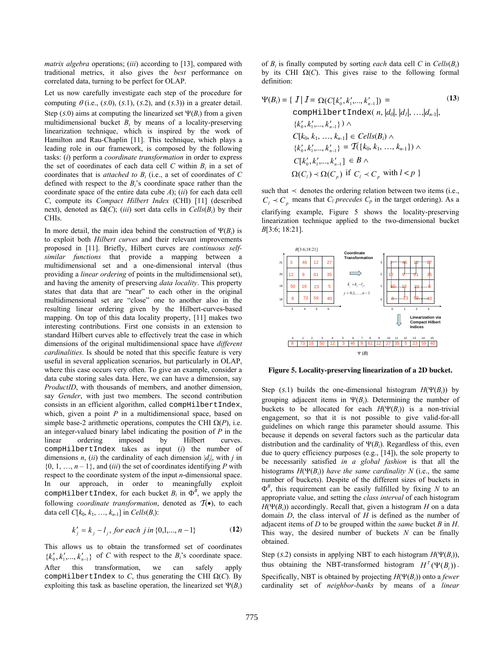*matrix algebra* operations; (*iii*) according to [13], compared with traditional metrics, it also gives the *best* performance on correlated data, turning to be perfect for OLAP.

Let us now carefully investigate each step of the procedure for computing  $\theta$  (i.e., (s.0), (s.1), (s.2), and (s.3)) in a greater detail. Step  $(s.0)$  aims at computing the linearized set  $\Psi(B_i)$  from a given multidimensional bucket  $B_i$  by means of a locality-preserving linearization technique, which is inspired by the work of Hamilton and Rau-Chaplin [11]. This technique, which plays a leading role in our framework, is composed by the following tasks: (*i*) perform a *coordinate transformation* in order to express the set of coordinates of each data cell  $C$  within  $B_i$  in a set of coordinates that is *attached to Bi* (i.e., a set of coordinates of *C* defined with respect to the *Bi*'s coordinate space rather than the coordinate space of the entire data cube *A*); (*ii*) for each data cell *C*, compute its *Compact Hilbert Index* (CHI) [11] (described next), denoted as  $Ω(C)$ ; (*iii*) sort data cells in  $Cells(B_i)$  by their CHIs.

In more detail, the main idea behind the construction of  $\Psi(B_i)$  is to exploit both *Hilbert curves* and their relevant improvements proposed in [11]. Briefly, Hilbert curves are *continuous selfsimilar functions* that provide a mapping between a multidimensional set and a one-dimensional interval (thus providing a *linear ordering* of points in the multidimensional set), and having the amenity of preserving *data locality*. This property states that data that are "near" to each other in the original multidimensional set are "close" one to another also in the resulting linear ordering given by the Hilbert-curves-based mapping. On top of this data locality property, [11] makes two interesting contributions. First one consists in an extension to standard Hilbert curves able to effectively treat the case in which dimensions of the original multidimensional space have *different cardinalities*. Is should be noted that this specific feature is very useful in several application scenarios, but particularly in OLAP, where this case occurs very often. To give an example, consider a data cube storing sales data. Here, we can have a dimension, say *ProductID*, with thousands of members, and another dimension, say *Gender*, with just two members. The second contribution consists in an efficient algorithm, called compHilbertIndex, which, given a point *P* in a multidimensional space, based on simple base-2 arithmetic operations, computes the CHI  $\Omega(P)$ , i.e. an integer-valued binary label indicating the position of *P* in the linear ordering imposed by Hilbert curves. compHilbertIndex takes as input (*i*) the number of dimensions *n*, (*ii*) the cardinality of each dimension  $|d_i|$ , with *j* in  $\{0, 1, \ldots, n-1\}$ , and *(iii)* the set of coordinates identifying P with respect to the coordinate system of the input *n*-dimensional space. In our approach, in order to meaningfully exploit compHilbertIndex, for each bucket  $B_i$  in  $\Phi^B$ , we apply the following *coordinate transformation*, denoted as  $\mathcal{T}(\bullet)$ , to each data cell  $C[k_0, k_1, ..., k_{n-1}]$  in  $Cells(B_i)$ :

$$
k'_{j} = k_{j} - l_{j}, \text{ for each } j \text{ in } \{0, 1, \dots, n - 1\}
$$
 (12)

This allows us to obtain the transformed set of coordinates  ${k'_0, k'_1, ..., k'_{n-1}}$  of *C* with respect to the *B<sub>i</sub>*'s coordinate space. After this transformation, we can safely apply compHilbertIndex to *C*, thus generating the CHI  $\Omega(C)$ . By exploiting this task as baseline operation, the linearized set  $\Psi(B_i)$ 

of  $B_i$  is finally computed by sorting *each* data cell *C* in  $Cells(B_i)$ by its CHI  $\Omega(C)$ . This gives raise to the following formal definition:

$$
\Psi(B_i) = \{ I | I = \Omega(C[k'_0, k'_1, ..., k'_{n-1}]) =
$$
\n
$$
\text{complilbertIndex}(n, |d_0|, |d_1|, ..., |d_{n-1}|,
$$
\n
$$
\{k'_0, k'_1, ..., k'_{n-1}\} \land
$$
\n
$$
C[k_0, k_1, ..., k_{n-1}] \in Cells(B_i) \land
$$
\n
$$
\{k'_0, k'_1, ..., k'_{n-1}\} = T(\{k_0, k_1, ..., k_{n-1}\}) \land
$$
\n
$$
C[k'_0, k'_1, ..., k'_{n-1}] \in B \land
$$
\n
$$
\Omega(C_i) \prec \Omega(C_p) \text{ if } C_i \prec C_p \text{ with } l < p \}
$$
\n(13)

such that  $\prec$  denotes the ordering relation between two items (i.e.,  $C_l \prec C_p$  means that  $C_l$  *precedes*  $C_p$  in the target ordering). As a clarifying example, Figure 5 shows the locality-preserving linearization technique applied to the two-dimensional bucket *B*[3:6; 18:21].



**Figure 5. Locality-preserving linearization of a 2D bucket.** 

Step  $(s.1)$  builds the one-dimensional histogram  $H(\Psi(B_i))$  by grouping adjacent items in  $\Psi(B_i)$ . Determining the number of buckets to be allocated for each  $H(\Psi(B_i))$  is a non-trivial engagement, so that it is not possible to give valid-for-all guidelines on which range this parameter should assume. This because it depends on several factors such as the particular data distribution and the cardinality of  $\Psi(B_i)$ . Regardless of this, even due to query efficiency purposes (e.g., [14]), the sole property to be necessarily satisfied *in a global fashion* is that all the histograms  $H(\Psi(B_i))$  have the same cardinality N (i.e., the same number of buckets). Despite of the different sizes of buckets in  $\Phi^B$ , this requirement can be easily fulfilled by fixing *N* to an appropriate value, and setting the *class interval* of each histogram  $H(\Psi(B_i))$  accordingly. Recall that, given a histogram *H* on a data domain *D*, the class interval of *H* is defined as the number of adjacent items of *D* to be grouped within the *same* bucket *B* in *H*. This way, the desired number of buckets *N* can be finally obtained.

Step (*s*.2) consists in applying NBT to each histogram  $H(\Psi(B_i))$ , thus obtaining the NBT-transformed histogram  $H^T(\Psi(B_i))$ . Specifically, NBT is obtained by projecting  $H(\Psi(B_i))$  onto a *fewer* cardinality set of *neighbor-banks* by means of a *linear*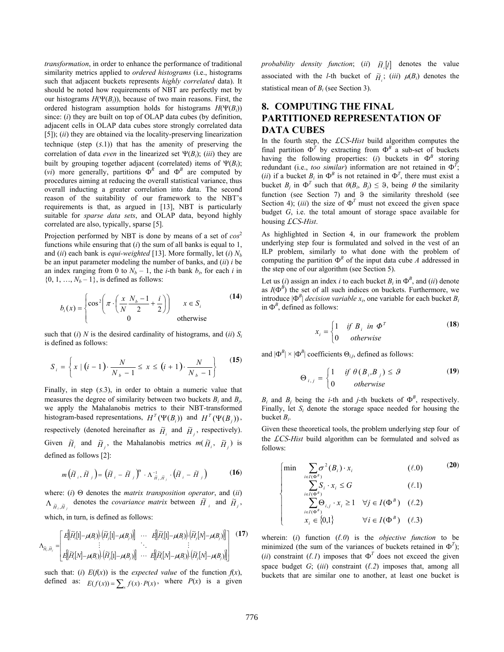*transformation*, in order to enhance the performance of traditional similarity metrics applied to *ordered histograms* (i.e., histograms such that adjacent buckets represents *highly correlated* data). It should be noted how requirements of NBT are perfectly met by our histograms  $H(\Psi(B_i))$ , because of two main reasons. First, the ordered histogram assumption holds for histograms  $H(\Psi(B_i))$ since: (*i*) they are built on top of OLAP data cubes (by definition, adjacent cells in OLAP data cubes store strongly correlated data [5]); (*ii*) they are obtained via the locality-preserving linearization technique (step (*s*.1)) that has the amenity of preserving the correlation of data *even* in the linearized set  $\Psi(B_i)$ ; (*iii*) they are built by grouping together adjacent (correlated) items of  $\Psi(B_i)$ ; (*vi*) more generally, partitions  $\Phi^R$  and  $\Phi^B$  are computed by procedures aiming at reducing the overall statistical variance, thus overall inducting a greater correlation into data. The second reason of the suitability of our framework to the NBT's requirements is that, as argued in [13], NBT is particularly suitable for *sparse data sets*, and OLAP data, beyond highly correlated are also, typically, sparse [5].

Projection performed by NBT is done by means of a set of  $cos^2$ functions while ensuring that (*i*) the sum of all banks is equal to 1, and (*ii*) each bank is *equi-weighted* [13]. More formally, let (*i*) *Nb* be an input parameter modeling the number of banks, and (*ii*) *i* be an index ranging from 0 to  $N_b - 1$ , the *i*-th bank  $b_i$ , for each *i* in  $\{0, 1, ..., N_b - 1\}$ , is defined as follows:

$$
b_i(x) = \begin{cases} \cos^2\left(\pi \cdot \left(\frac{x}{N_b} - \frac{1}{2} + \frac{i}{2}\right)\right) & x \in S_i \\ 0 & \text{otherwise} \end{cases}
$$
 (14)

such that (*i*) *N* is the desired cardinality of histograms, and (*ii*)  $S_i$ is defined as follows:

$$
S_{i} = \left\{ x \mid (i-1) \cdot \frac{N}{N_{b}-1} \leq x \leq (i+1) \cdot \frac{N}{N_{b}-1} \right\}
$$
(15)

Finally, in step (*s*.3), in order to obtain a numeric value that measures the degree of similarity between two buckets  $B_i$  and  $B_j$ , we apply the Mahalanobis metrics to their NBT-transformed histogram-based representations,  $H^T(\Psi(B_i))$  and  $H^T(\Psi(B_j))$ , respectively (denoted hereinafter as  $\widetilde{H}_i$  and  $\widetilde{H}_j$ , respectively). Given  $\widetilde{H}_i$  and  $\widetilde{H}_j$ , the Mahalanobis metrics  $m(\widetilde{H}_i, \widetilde{H}_j)$  is defined as follows [2]:

$$
m(\widetilde{H}_i, \widetilde{H}_j) = (\widetilde{H}_i - \widetilde{H}_j)^{\circ} \cdot \Lambda_{\widetilde{H}_i, \widetilde{H}_j}^{-1} \cdot (\widetilde{H}_i - \widetilde{H}_j)
$$
(16)

where:  $(i)$   $\Theta$  denotes the *matrix transposition operator*, and  $(ii)$  $\Lambda_{\tilde{H}_i, \tilde{H}_j}$  denotes the *covariance matrix* between  $\tilde{H}_i$  and  $\tilde{H}_j$ , which, in turn, is defined as follows:

$$
\Lambda_{\widetilde{H}_i, \widetilde{H}_j} = \begin{bmatrix} E[(\widetilde{H}_i[1] - \mu(B_i)) \cdot (\widetilde{H}_j[1] - \mu(B_j))] & \cdots & E[(\widetilde{H}_i[1] - \mu(B_i)) \cdot (\widetilde{H}_j[N] - \mu(B_j))] \\ \vdots & \ddots & \vdots \\ E[(\widetilde{H}_i[N] - \mu(B_i)) \cdot (\widetilde{H}_j[1] - \mu(B_j))] & \cdots & E[(\widetilde{H}_i[N] - \mu(B_i)) \cdot (\widetilde{H}_j[N] - \mu(B_j))] \end{bmatrix}
$$
(17)

such that: (*i*)  $E(f(x))$  is the *expected value* of the function  $f(x)$ , defined as:  $E(f(x)) = \sum_{x} f(x) \cdot P(x)$ , where  $P(x)$  is a given *probability density function*; (*ii*)  $\tilde{H}$ [*i*] denotes the value associated with the *l*-th bucket of  $\tilde{H}_i$ ; (*iii*)  $\mu(B_i)$  denotes the statistical mean of *Bi* (see Section 3).

## **8. COMPUTING THE FINAL PARTITIONED REPRESENTATION OF DATA CUBES**

In the fourth step, the *LCS*-*Hist* build algorithm computes the final partition  $\Phi^T$  by extracting from  $\Phi^B$  a sub-set of buckets having the following properties: (*i*) buckets in  $\Phi^B$  storing redundant (i.e., *too similar*) information are not retained in  $\Phi^T$ ; (*ii*) if a bucket  $B_i$  in  $\Phi^B$  is not retained in  $\Phi^T$ , there must exist a bucket  $B_j$  in  $\Phi^T$  such that  $\theta(B_i, B_j) \leq \vartheta$ , being  $\theta$  the similarity function (see Section 7) and  $\theta$  the similarity threshold (see Section 4); (*iii*) the size of  $\Phi^T$  must not exceed the given space budget *G*, i.e. the total amount of storage space available for housing *LCS*-*Hist*.

As highlighted in Section 4, in our framework the problem underlying step four is formulated and solved in the vest of an ILP problem, similarly to what done with the problem of computing the partition  $\Phi^R$  of the input data cube *A* addressed in the step one of our algorithm (see Section 5).

Let us (*i*) assign an index *i* to each bucket  $B_i$  in  $\Phi^B$ , and (*ii*) denote as  $I(\Phi^B)$  the set of all such indices on buckets. Furthermore, we introduce  $|\Phi^B|$  *decision variable x<sub>i</sub>*, one variable for each bucket  $B_i$ in  $\Phi^B$ , defined as follows:

$$
x_i = \begin{cases} 1 & \text{if } B_i \text{ in } \Phi^T \\ 0 & \text{otherwise} \end{cases}
$$
 (18)

and  $|\Phi^B| \times |\Phi^B|$  coefficients  $\Theta_{i,j}$ , defined as follows:

$$
\Theta_{i,j} = \begin{cases} 1 & \text{if } \theta(B_i, B_j) \leq \vartheta \\ 0 & \text{otherwise} \end{cases}
$$
 (19)

 $B_i$  and  $B_j$  being the *i*-th and *j*-th buckets of  $\Phi^B$ , respectively. Finally, let *Si* denote the storage space needed for housing the bucket *Bi*.

Given these theoretical tools, the problem underlying step four of the *LCS*-*Hist* build algorithm can be formulated and solved as follows:

$$
\begin{cases}\n\min \quad \sum_{i \in I(\Phi^B)} \sigma^2(B_i) \cdot x_i & (\ell.0) \\
\sum_{i \in I(\Phi^B)} S_i \cdot x_i \le G & (\ell.1) \\
\sum_{i \in I(\Phi^B)} \Theta_{i,j} \cdot x_i \ge 1 & \forall j \in I(\Phi^B) \quad (\ell.2) \\
x_i \in \{0,1\} & \forall i \in I(\Phi^B) \quad (\ell.3)\n\end{cases}
$$
\n(20)

wherein: (*i*) function (*ℓ.0*) is the *objective function* to be minimized (the sum of the variances of buckets retained in  $\Phi^T$ ); (*ii*) constraint ( $\ell$ *.1*) imposes that  $\Phi^T$  does not exceed the given space budget *G*; (*iii*) constraint (*ℓ.2*) imposes that, among all buckets that are similar one to another, at least one bucket is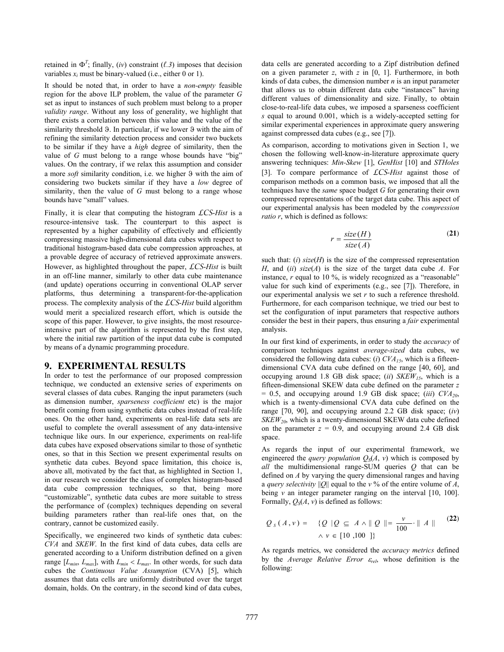retained in  $\Phi^T$ ; finally, (*iv*) constraint ( $\ell$ .3) imposes that decision variables  $x_i$  must be binary-valued (i.e., either  $0$  or 1).

It should be noted that, in order to have a *non-empty* feasible region for the above ILP problem, the value of the parameter *G* set as input to instances of such problem must belong to a proper *validity range*. Without any loss of generality, we highlight that there exists a correlation between this value and the value of the similarity threshold  $\vartheta$ . In particular, if we lower  $\vartheta$  with the aim of refining the similarity detection process and consider two buckets to be similar if they have a *high* degree of similarity, then the value of *G* must belong to a range whose bounds have "big" values. On the contrary, if we relax this assumption and consider a more *soft* similarity condition, i.e. we higher 9 with the aim of considering two buckets similar if they have a *low* degree of similarity, then the value of *G* must belong to a range whose bounds have "small" values.

Finally, it is clear that computing the histogram *LCS*-*Hist* is a resource-intensive task. The counterpart to this aspect is represented by a higher capability of effectively and efficiently compressing massive high-dimensional data cubes with respect to traditional histogram-based data cube compression approaches, at a provable degree of accuracy of retrieved approximate answers. However, as highlighted throughout the paper, *LCS*-*Hist* is built in an off-line manner, similarly to other data cube maintenance (and update) operations occurring in conventional OLAP server platforms, thus determining a transparent-for-the-application process. The complexity analysis of the *LCS*-*Hist* build algorithm would merit a specialized research effort, which is outside the scope of this paper. However, to give insights, the most resourceintensive part of the algorithm is represented by the first step, where the initial raw partition of the input data cube is computed by means of a dynamic programming procedure.

#### **9. EXPERIMENTAL RESULTS**

In order to test the performance of our proposed compression technique, we conducted an extensive series of experiments on several classes of data cubes. Ranging the input parameters (such as dimension number, *sparseness coefficient* etc) is the major benefit coming from using synthetic data cubes instead of real-life ones. On the other hand, experiments on real-life data sets are useful to complete the overall assessment of any data-intensive technique like ours. In our experience, experiments on real-life data cubes have exposed observations similar to those of synthetic ones, so that in this Section we present experimental results on synthetic data cubes. Beyond space limitation, this choice is, above all, motivated by the fact that, as highlighted in Section 1, in our research we consider the class of complex histogram-based data cube compression techniques, so that, being more "customizable", synthetic data cubes are more suitable to stress the performance of (complex) techniques depending on several building parameters rather than real-life ones that, on the contrary, cannot be customized easily.

Specifically, we engineered two kinds of synthetic data cubes: *CVA* and *SKEW*. In the first kind of data cubes, data cells are generated according to a Uniform distribution defined on a given range  $[L_{min}, L_{max}]$ , with  $L_{min} < L_{max}$ . In other words, for such data cubes the *Continuous Value Assumption* (CVA) [5], which assumes that data cells are uniformly distributed over the target domain, holds. On the contrary, in the second kind of data cubes,

data cells are generated according to a Zipf distribution defined on a given parameter *z*, with *z* in [0, 1]. Furthermore, in both kinds of data cubes, the dimension number *n* is an input parameter that allows us to obtain different data cube "instances" having different values of dimensionality and size. Finally, to obtain close-to-real-life data cubes, we imposed a sparseness coefficient *s* equal to around 0.001, which is a widely-accepted setting for similar experimental experiences in approximate query answering against compressed data cubes (e.g., see [7]).

As comparison, according to motivations given in Section 1, we chosen the following well-know-in-literature approximate query answering techniques: *Min-Skew* [1], *GenHist* [10] and *STHoles* [3]. To compare performance of *LCS*-*Hist* against those of comparison methods on a common basis, we imposed that all the techniques have the *same* space budget *G* for generating their own compressed representations of the target data cube. This aspect of our experimental analysis has been modeled by the *compression ratio r*, which is defined as follows:

$$
r = \frac{size(H)}{size(A)} \tag{21}
$$

such that:  $(i)$  *size*( $H$ ) is the size of the compressed representation *H*, and (*ii*) *size*(*A*) is the size of the target data cube *A*. For instance, *r* equal to 10 %, is widely recognized as a "reasonable" value for such kind of experiments (e.g., see [7]). Therefore, in our experimental analysis we set *r* to such a reference threshold. Furthermore, for each comparison technique, we tried our best to set the configuration of input parameters that respective authors consider the best in their papers, thus ensuring a *fair* experimental analysis.

In our first kind of experiments, in order to study the *accuracy* of comparison techniques against *average-sized* data cubes, we considered the following data cubes: (*i*)  $CVA<sub>15</sub>$ , which is a fifteendimensional CVA data cube defined on the range [40, 60], and occupying around 1.8 GB disk space; (*ii*) *SKEW15*, which is a fifteen-dimensional SKEW data cube defined on the parameter *z*  $= 0.5$ , and occupying around 1.9 GB disk space; *(iii)*  $CVA<sub>20</sub>$ , which is a twenty-dimensional CVA data cube defined on the range [70, 90], and occupying around 2.2 GB disk space; (*iv*) *SKEW*<sub>20</sub>, which is a twenty-dimensional SKEW data cube defined on the parameter  $z = 0.9$ , and occupying around 2.4 GB disk space.

As regards the input of our experimental framework, we engineered the *query population*  $Q_S(A, v)$  which is composed by *all* the multidimensional range-SUM queries *Q* that can be defined on *A* by varying the query dimensional ranges and having a *query selectivity* ||*Q*|| equal to the *v* % of the entire volume of *A*, being  $v$  an integer parameter ranging on the interval  $[10, 100]$ . Formally,  $Q_S(A, v)$  is defined as follows:

$$
Q_{s}(A, v) = \{ Q | Q \subseteq A \land || Q || = \frac{v}{100} \cdot || A || \tag{22}
$$
  
 
$$
\land v \in [10, 100] \}
$$

As regards metrics, we considered the *accuracy metrics* defined by the *Average Relative Error*  $\varepsilon_{rel}$ , whose definition is the following: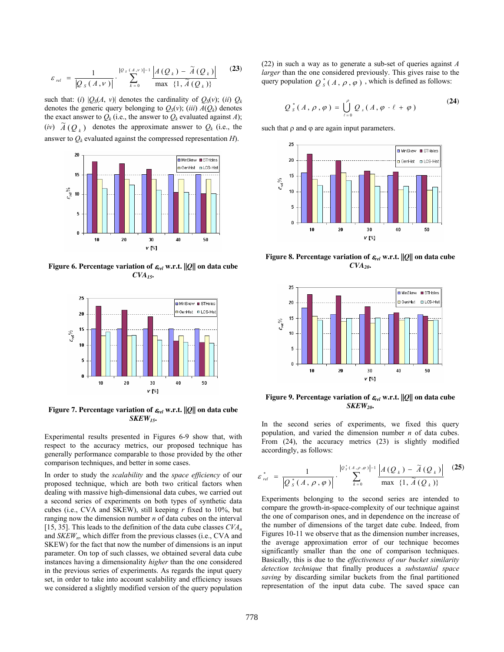$$
\varepsilon_{rel} = \frac{1}{|Q_{s}(A, v)|} \cdot \sum_{k=0}^{|Q_{s}(A, v)|-1} \frac{\left|A(Q_{k}) - \tilde{A}(Q_{k})\right|}{\max \{1, \tilde{A}(Q_{k})\}} \tag{23}
$$

such that: (*i*)  $|Q_S(A, v)|$  denotes the cardinality of  $Q_S(v)$ ; (*ii*)  $Q_k$ denotes the generic query belonging to  $Q_S(v)$ ; (*iii*)  $A(Q_k)$  denotes the exact answer to  $Q_k$  (i.e., the answer to  $Q_k$  evaluated against *A*); (*iv*)  $\widetilde{A}$  ( $O_k$ ) denotes the approximate answer to  $Q_k$  (i.e., the answer to  $Q_k$  evaluated against the compressed representation  $H$ ).



**Figure 6. Percentage variation of**  $\varepsilon_{rel}$  **w.r.t.**  $||Q||$  **on data cube** *CVA15***.** 



**Figure 7. Percentage variation of**  $\varepsilon_{rel}$  **w.r.t.**  $||Q||$  **on data cube** *SKEW15***.** 

Experimental results presented in Figures 6-9 show that, with respect to the accuracy metrics, our proposed technique has generally performance comparable to those provided by the other comparison techniques, and better in some cases.

In order to study the *scalability* and the *space efficiency* of our proposed technique, which are both two critical factors when dealing with massive high-dimensional data cubes, we carried out a second series of experiments on both types of synthetic data cubes (i.e., CVA and SKEW), still keeping *r* fixed to 10%, but ranging now the dimension number *n* of data cubes on the interval [15, 35]. This leads to the definition of the data cube classes *CVAn* and *SKEW<sub>n</sub>*, which differ from the previous classes (i.e., CVA and SKEW) for the fact that now the number of dimensions is an input parameter. On top of such classes, we obtained several data cube instances having a dimensionality *higher* than the one considered in the previous series of experiments. As regards the input query set, in order to take into account scalability and efficiency issues we considered a slightly modified version of the query population (22) in such a way as to generate a sub-set of queries against *A larger* than the one considered previously. This gives raise to the query population  $Q_s^*(A, \rho, \varphi)$ , which is defined as follows:

$$
Q_{s}^{*}(A,\rho,\varphi)=\bigcup_{\ell=0}^{\rho}Q_{s}(A,\varphi\cdot\ell+\varphi)
$$
 (24)

such that  $\rho$  and  $\varphi$  are again input parameters.



**Figure 8. Percentage variation of**  $\varepsilon_{rel}$  **w.r.t.**  $||Q||$  **on data cube**  $CVA<sub>20</sub>$ 



**Figure 9. Percentage variation of**  $\varepsilon_{rel}$  **w.r.t.**  $||Q||$  **on data cube** *SKEW20***.** 

In the second series of experiments, we fixed this query population, and varied the dimension number *n* of data cubes. From (24), the accuracy metrics (23) is slightly modified accordingly, as follows:

$$
\varepsilon_{rel}^* = \frac{1}{\left| \mathcal{Q}_s^*(A, \rho, \varphi) \right|} \cdot \sum_{k=0}^{\left| \mathcal{Q}_s^*(A, \rho, \varphi) \right| - 1} \frac{\left| A(Q_k) - \tilde{A}(Q_k) \right|}{\max \{1, \tilde{A}(Q_k)\}} \tag{25}
$$

Experiments belonging to the second series are intended to compare the growth-in-space-complexity of our technique against the one of comparison ones, and in dependence on the increase of the number of dimensions of the target date cube. Indeed, from Figures 10-11 we observe that as the dimension number increases, the average approximation error of our technique becomes significantly smaller than the one of comparison techniques. Basically, this is due to the *effectiveness of our bucket similarity detection technique* that finally produces a *substantial space saving* by discarding similar buckets from the final partitioned representation of the input data cube. The saved space can